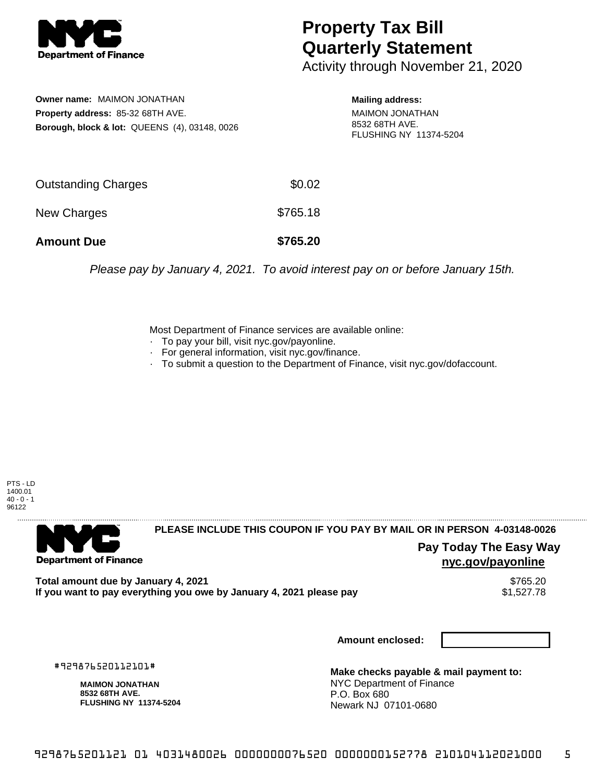

## **Property Tax Bill Quarterly Statement**

Activity through November 21, 2020

**Owner name:** MAIMON JONATHAN **Property address:** 85-32 68TH AVE. **Borough, block & lot:** QUEENS (4), 03148, 0026 **Mailing address:**

MAIMON JONATHAN 8532 68TH AVE. FLUSHING NY 11374-5204

| <b>Amount Due</b>   | \$765.20 |
|---------------------|----------|
| New Charges         | \$765.18 |
| Outstanding Charges | \$0.02   |

Please pay by January 4, 2021. To avoid interest pay on or before January 15th.

Most Department of Finance services are available online:

- · To pay your bill, visit nyc.gov/payonline.
- For general information, visit nyc.gov/finance.
- · To submit a question to the Department of Finance, visit nyc.gov/dofaccount.

PTS - LD 1400.01  $40 - 0 - 1$ 96122



**PLEASE INCLUDE THIS COUPON IF YOU PAY BY MAIL OR IN PERSON 4-03148-0026** 

**Pay Today The Easy Way nyc.gov/payonline**

Total amount due by January 4, 2021<br>If you want to pay everything you owe by January 4, 2021 please pay **ship in the set of the set of the s**1,527.78 If you want to pay everything you owe by January 4, 2021 please pay

**Amount enclosed:**

#929876520112101#

**MAIMON JONATHAN 8532 68TH AVE. FLUSHING NY 11374-5204**

**Make checks payable & mail payment to:** NYC Department of Finance P.O. Box 680 Newark NJ 07101-0680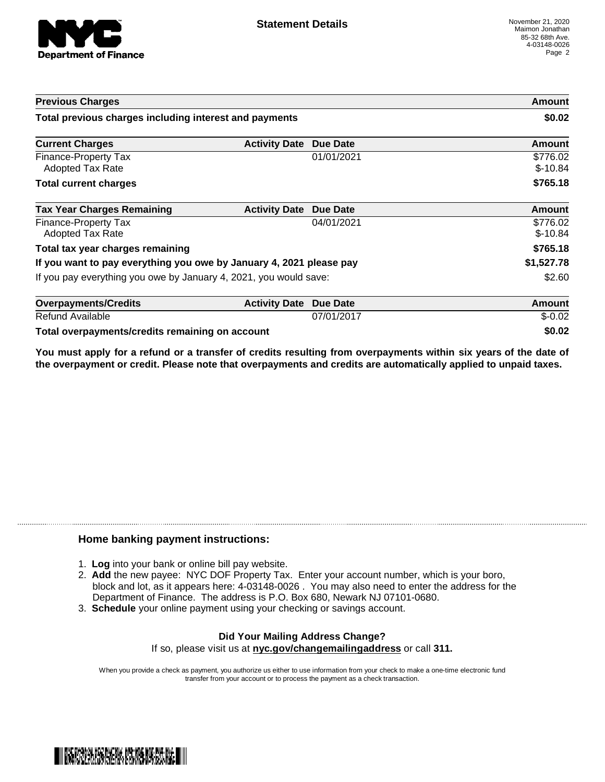

| <b>Previous Charges</b>                                             |                      |                 | Amount                |
|---------------------------------------------------------------------|----------------------|-----------------|-----------------------|
| Total previous charges including interest and payments              |                      | \$0.02          |                       |
| <b>Current Charges</b>                                              | <b>Activity Date</b> | <b>Due Date</b> | Amount                |
| Finance-Property Tax<br><b>Adopted Tax Rate</b>                     |                      | 01/01/2021      | \$776.02<br>$$-10.84$ |
| <b>Total current charges</b>                                        |                      |                 | \$765.18              |
| <b>Tax Year Charges Remaining</b>                                   | <b>Activity Date</b> | <b>Due Date</b> | <b>Amount</b>         |
| Finance-Property Tax<br><b>Adopted Tax Rate</b>                     |                      | 04/01/2021      | \$776.02<br>$$-10.84$ |
| Total tax year charges remaining                                    |                      | \$765.18        |                       |
| If you want to pay everything you owe by January 4, 2021 please pay |                      | \$1,527.78      |                       |
| If you pay everything you owe by January 4, 2021, you would save:   |                      | \$2.60          |                       |
| <b>Overpayments/Credits</b>                                         | <b>Activity Date</b> | <b>Due Date</b> | Amount                |
| <b>Refund Available</b>                                             |                      | 07/01/2017      | $$-0.02$              |
| Total overpayments/credits remaining on account                     |                      |                 | \$0.02                |

You must apply for a refund or a transfer of credits resulting from overpayments within six years of the date of **the overpayment or credit. Please note that overpayments and credits are automatically applied to unpaid taxes.**

## **Home banking payment instructions:**

- 1. **Log** into your bank or online bill pay website.
- 2. **Add** the new payee: NYC DOF Property Tax. Enter your account number, which is your boro, block and lot, as it appears here: 4-03148-0026 . You may also need to enter the address for the Department of Finance. The address is P.O. Box 680, Newark NJ 07101-0680.
- 3. **Schedule** your online payment using your checking or savings account.

## **Did Your Mailing Address Change?** If so, please visit us at **nyc.gov/changemailingaddress** or call **311.**

When you provide a check as payment, you authorize us either to use information from your check to make a one-time electronic fund transfer from your account or to process the payment as a check transaction.